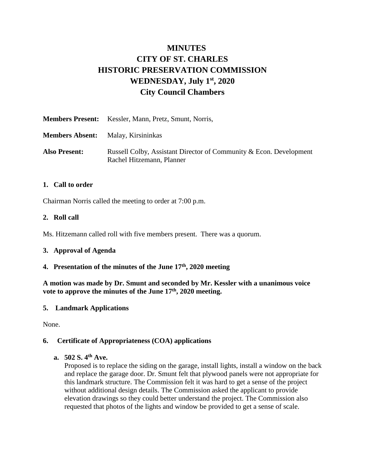# **MINUTES CITY OF ST. CHARLES HISTORIC PRESERVATION COMMISSION WEDNESDAY, July 1 st, 2020 City Council Chambers**

|                                           | <b>Members Present:</b> Kessler, Mann, Pretz, Smunt, Norris,                                    |
|-------------------------------------------|-------------------------------------------------------------------------------------------------|
| <b>Members Absent:</b> Malay, Kirsininkas |                                                                                                 |
| <b>Also Present:</b>                      | Russell Colby, Assistant Director of Community & Econ. Development<br>Rachel Hitzemann, Planner |

#### **1. Call to order**

Chairman Norris called the meeting to order at 7:00 p.m.

#### **2. Roll call**

Ms. Hitzemann called roll with five members present. There was a quorum.

#### **3. Approval of Agenda**

#### **4. Presentation of the minutes of the June 17th , 2020 meeting**

**A motion was made by Dr. Smunt and seconded by Mr. Kessler with a unanimous voice vote to approve the minutes of the June 17 th, 2020 meeting.** 

#### **5. Landmark Applications**

None.

#### **6. Certificate of Appropriateness (COA) applications**

#### **a. 502 S. 4th Ave.**

Proposed is to replace the siding on the garage, install lights, install a window on the back and replace the garage door. Dr. Smunt felt that plywood panels were not appropriate for this landmark structure. The Commission felt it was hard to get a sense of the project without additional design details. The Commission asked the applicant to provide elevation drawings so they could better understand the project. The Commission also requested that photos of the lights and window be provided to get a sense of scale.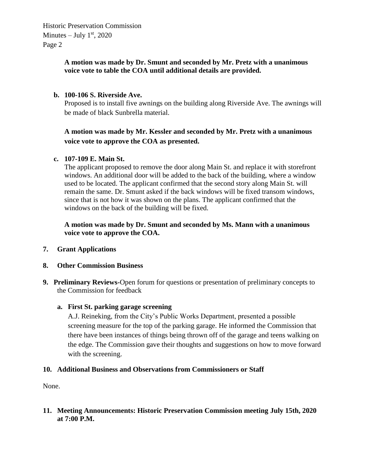Historic Preservation Commission Minutes  $-$  July  $1<sup>st</sup>$ , 2020 Page 2

#### **A motion was made by Dr. Smunt and seconded by Mr. Pretz with a unanimous voice vote to table the COA until additional details are provided.**

#### **b. 100-106 S. Riverside Ave.**

Proposed is to install five awnings on the building along Riverside Ave. The awnings will be made of black Sunbrella material.

### **A motion was made by Mr. Kessler and seconded by Mr. Pretz with a unanimous voice vote to approve the COA as presented.**

#### **c. 107-109 E. Main St.**

The applicant proposed to remove the door along Main St. and replace it with storefront windows. An additional door will be added to the back of the building, where a window used to be located. The applicant confirmed that the second story along Main St. will remain the same. Dr. Smunt asked if the back windows will be fixed transom windows, since that is not how it was shown on the plans. The applicant confirmed that the windows on the back of the building will be fixed.

**A motion was made by Dr. Smunt and seconded by Ms. Mann with a unanimous voice vote to approve the COA.** 

- **7. Grant Applications**
- **8. Other Commission Business**
- **9. Preliminary Reviews-**Open forum for questions or presentation of preliminary concepts to the Commission for feedback

#### **a. First St. parking garage screening**

A.J. Reineking, from the City's Public Works Department, presented a possible screening measure for the top of the parking garage. He informed the Commission that there have been instances of things being thrown off of the garage and teens walking on the edge. The Commission gave their thoughts and suggestions on how to move forward with the screening.

#### **10. Additional Business and Observations from Commissioners or Staff**

None.

#### **11. Meeting Announcements: Historic Preservation Commission meeting July 15th, 2020 at 7:00 P.M.**